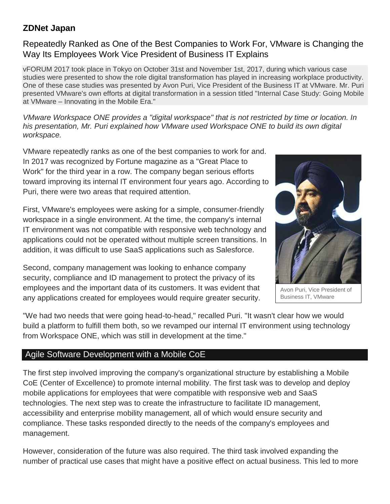# **ZDNet Japan**

## Repeatedly Ranked as One of the Best Companies to Work For, VMware is Changing the Way Its Employees Work Vice President of Business IT Explains

vFORUM 2017 took place in Tokyo on October 31st and November 1st, 2017, during which various case studies were presented to show the role digital transformation has played in increasing workplace productivity. One of these case studies was presented by Avon Puri, Vice President of the Business IT at VMware. Mr. Puri presented VMware's own efforts at digital transformation in a session titled "Internal Case Study: Going Mobile at VMware – Innovating in the Mobile Era."

*VMware Workspace ONE provides a "digital workspace" that is not restricted by time or location. In his presentation, Mr. Puri explained how VMware used Workspace ONE to build its own digital workspace.*

VMware repeatedly ranks as one of the best companies to work for and. In 2017 was recognized by Fortune magazine as a "Great Place to Work" for the third year in a row. The company began serious efforts toward improving its internal IT environment four years ago. According to Puri, there were two areas that required attention.

First, VMware's employees were asking for a simple, consumer-friendly workspace in a single environment. At the time, the company's internal IT environment was not compatible with responsive web technology and applications could not be operated without multiple screen transitions. In addition, it was difficult to use SaaS applications such as Salesforce.

Second, company management was looking to enhance company security, compliance and ID management to protect the privacy of its employees and the important data of its customers. It was evident that any applications created for employees would require greater security.



Avon Puri, Vice President of Business IT, VMware

"We had two needs that were going head-to-head," recalled Puri. "It wasn't clear how we would build a platform to fulfill them both, so we revamped our internal IT environment using technology from Workspace ONE, which was still in development at the time."

# Agile Software Development with a Mobile CoE

The first step involved improving the company's organizational structure by establishing a Mobile CoE (Center of Excellence) to promote internal mobility. The first task was to develop and deploy mobile applications for employees that were compatible with responsive web and SaaS technologies. The next step was to create the infrastructure to facilitate ID management, accessibility and enterprise mobility management, all of which would ensure security and compliance. These tasks responded directly to the needs of the company's employees and management.

However, consideration of the future was also required. The third task involved expanding the number of practical use cases that might have a positive effect on actual business. This led to more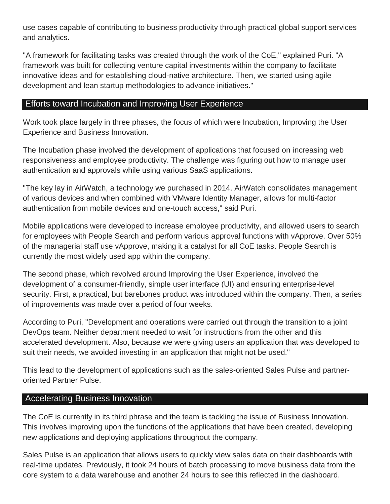use cases capable of contributing to business productivity through practical global support services and analytics.

"A framework for facilitating tasks was created through the work of the CoE," explained Puri. "A framework was built for collecting venture capital investments within the company to facilitate innovative ideas and for establishing cloud-native architecture. Then, we started using agile development and lean startup methodologies to advance initiatives."

#### Efforts toward Incubation and Improving User Experience

Work took place largely in three phases, the focus of which were Incubation, Improving the User Experience and Business Innovation.

The Incubation phase involved the development of applications that focused on increasing web responsiveness and employee productivity. The challenge was figuring out how to manage user authentication and approvals while using various SaaS applications.

"The key lay in AirWatch, a technology we purchased in 2014. AirWatch consolidates management of various devices and when combined with VMware Identity Manager, allows for multi-factor authentication from mobile devices and one-touch access," said Puri.

Mobile applications were developed to increase employee productivity, and allowed users to search for employees with People Search and perform various approval functions with vApprove. Over 50% of the managerial staff use vApprove, making it a catalyst for all CoE tasks. People Search is currently the most widely used app within the company.

The second phase, which revolved around Improving the User Experience, involved the development of a consumer-friendly, simple user interface (UI) and ensuring enterprise-level security. First, a practical, but barebones product was introduced within the company. Then, a series of improvements was made over a period of four weeks.

According to Puri, "Development and operations were carried out through the transition to a joint DevOps team. Neither department needed to wait for instructions from the other and this accelerated development. Also, because we were giving users an application that was developed to suit their needs, we avoided investing in an application that might not be used."

This lead to the development of applications such as the sales-oriented Sales Pulse and partneroriented Partner Pulse.

#### Accelerating Business Innovation

The CoE is currently in its third phrase and the team is tackling the issue of Business Innovation. This involves improving upon the functions of the applications that have been created, developing new applications and deploying applications throughout the company.

Sales Pulse is an application that allows users to quickly view sales data on their dashboards with real-time updates. Previously, it took 24 hours of batch processing to move business data from the core system to a data warehouse and another 24 hours to see this reflected in the dashboard.